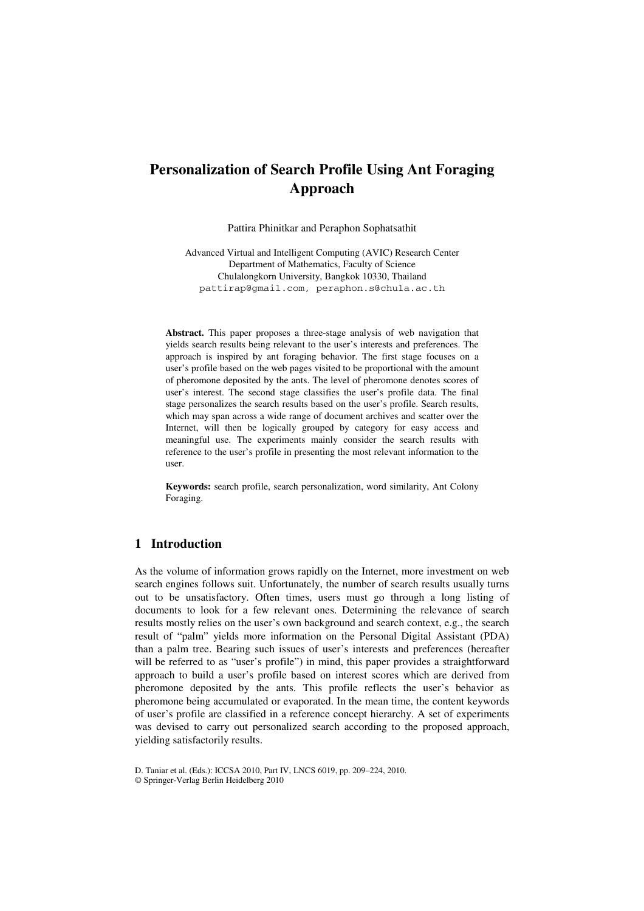# **Personalization of Search Profile Using Ant Foraging Approach**

Pattira Phinitkar and Peraphon Sophatsathit

Advanced Virtual and Intelligent Computing (AVIC) Research Center Department of Mathematics, Faculty of Science Chulalongkorn University, Bangkok 10330, Thailand pattirap@gmail.com, peraphon.s@chula.ac.th

**Abstract.** This paper proposes a three-stage analysis of web navigation that yields search results being relevant to the user's interests and preferences. The approach is inspired by ant foraging behavior. The first stage focuses on a user's profile based on the web pages visited to be proportional with the amount of pheromone deposited by the ants. The level of pheromone denotes scores of user's interest. The second stage classifies the user's profile data. The final stage personalizes the search results based on the user's profile. Search results, which may span across a wide range of document archives and scatter over the Internet, will then be logically grouped by category for easy access and meaningful use. The experiments mainly consider the search results with reference to the user's profile in presenting the most relevant information to the user.

**Keywords:** search profile, search personalization, word similarity, Ant Colony Foraging.

# **1 Introduction**

As the volume of information grows rapidly on the Internet, more investment on web search engines follows suit. Unfortunately, the number of search results usually turns out to be unsatisfactory. Often times, users must go through a long listing of documents to look for a few relevant ones. Determining the relevance of search results mostly relies on the user's own background and search context, e.g., the search result of "palm" yields more information on the Personal Digital Assistant (PDA) than a palm tree. Bearing such issues of user's interests and preferences (hereafter will be referred to as "user's profile") in mind, this paper provides a straightforward approach to build a user's profile based on interest scores which are derived from pheromone deposited by the ants. This profile reflects the user's behavior as pheromone being accumulated or evaporated. In the mean time, the content keywords of user's profile are classified in a reference concept hierarchy. A set of experiments was devised to carry out personalized search according to the proposed approach, yielding satisfactorily results.

D. Taniar et al. (Eds.): ICCSA 2010, Part IV, LNCS 6019, pp. 209–224, 2010.

<sup>©</sup> Springer-Verlag Berlin Heidelberg 2010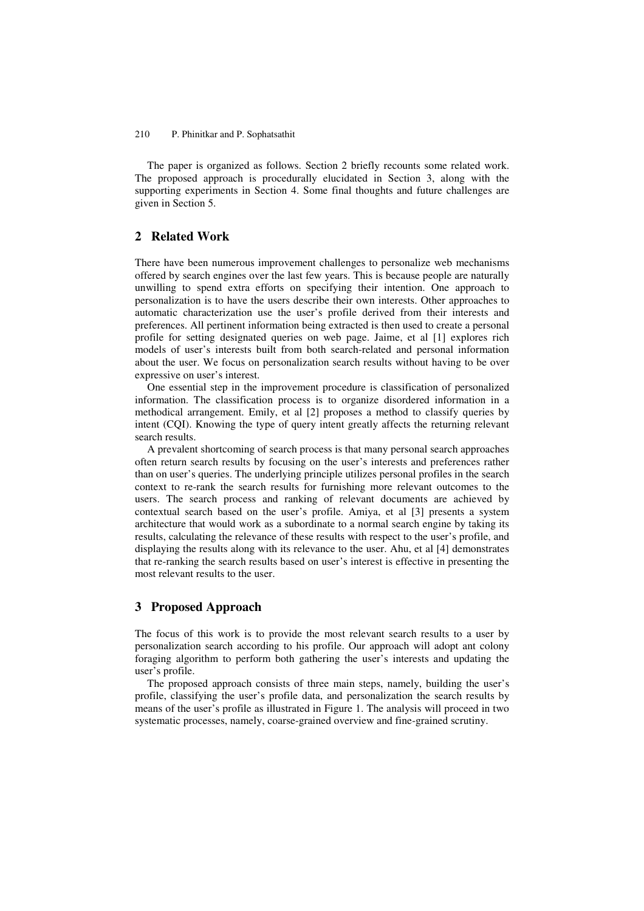The paper is organized as follows. Section 2 briefly recounts some related work. The proposed approach is procedurally elucidated in Section 3, along with the supporting experiments in Section 4. Some final thoughts and future challenges are given in Section 5.

# **2 Related Work**

There have been numerous improvement challenges to personalize web mechanisms offered by search engines over the last few years. This is because people are naturally unwilling to spend extra efforts on specifying their intention. One approach to personalization is to have the users describe their own interests. Other approaches to automatic characterization use the user's profile derived from their interests and preferences. All pertinent information being extracted is then used to create a personal profile for setting designated queries on web page. Jaime, et al [1] explores rich models of user's interests built from both search-related and personal information about the user. We focus on personalization search results without having to be over expressive on user's interest.

One essential step in the improvement procedure is classification of personalized information. The classification process is to organize disordered information in a methodical arrangement. Emily, et al [2] proposes a method to classify queries by intent (CQI). Knowing the type of query intent greatly affects the returning relevant search results.

A prevalent shortcoming of search process is that many personal search approaches often return search results by focusing on the user's interests and preferences rather than on user's queries. The underlying principle utilizes personal profiles in the search context to re-rank the search results for furnishing more relevant outcomes to the users. The search process and ranking of relevant documents are achieved by contextual search based on the user's profile. Amiya, et al [3] presents a system architecture that would work as a subordinate to a normal search engine by taking its results, calculating the relevance of these results with respect to the user's profile, and displaying the results along with its relevance to the user. Ahu, et al [4] demonstrates that re-ranking the search results based on user's interest is effective in presenting the most relevant results to the user.

# **3 Proposed Approach**

The focus of this work is to provide the most relevant search results to a user by personalization search according to his profile. Our approach will adopt ant colony foraging algorithm to perform both gathering the user's interests and updating the user's profile.

The proposed approach consists of three main steps, namely, building the user's profile, classifying the user's profile data, and personalization the search results by means of the user's profile as illustrated in Figure 1. The analysis will proceed in two systematic processes, namely, coarse-grained overview and fine-grained scrutiny.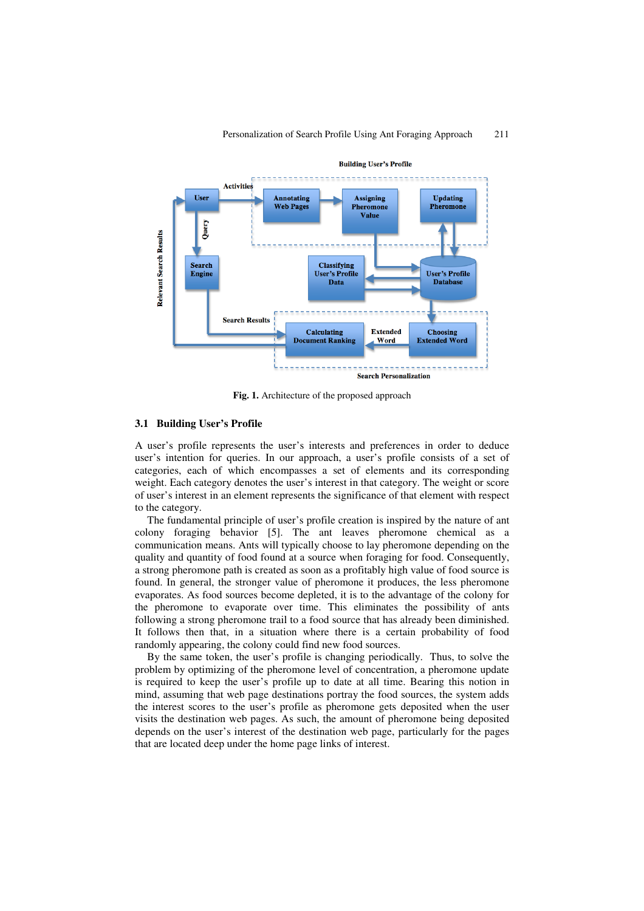

**Fig. 1.** Architecture of the proposed approach

# **3.1 Building User's Profile**

A user's profile represents the user's interests and preferences in order to deduce user's intention for queries. In our approach, a user's profile consists of a set of categories, each of which encompasses a set of elements and its corresponding weight. Each category denotes the user's interest in that category. The weight or score of user's interest in an element represents the significance of that element with respect to the category.

The fundamental principle of user's profile creation is inspired by the nature of ant colony foraging behavior [5]. The ant leaves pheromone chemical as a communication means. Ants will typically choose to lay pheromone depending on the quality and quantity of food found at a source when foraging for food. Consequently, a strong pheromone path is created as soon as a profitably high value of food source is found. In general, the stronger value of pheromone it produces, the less pheromone evaporates. As food sources become depleted, it is to the advantage of the colony for the pheromone to evaporate over time. This eliminates the possibility of ants following a strong pheromone trail to a food source that has already been diminished. It follows then that, in a situation where there is a certain probability of food randomly appearing, the colony could find new food sources.

By the same token, the user's profile is changing periodically. Thus, to solve the problem by optimizing of the pheromone level of concentration, a pheromone update is required to keep the user's profile up to date at all time. Bearing this notion in mind, assuming that web page destinations portray the food sources, the system adds the interest scores to the user's profile as pheromone gets deposited when the user visits the destination web pages. As such, the amount of pheromone being deposited depends on the user's interest of the destination web page, particularly for the pages that are located deep under the home page links of interest.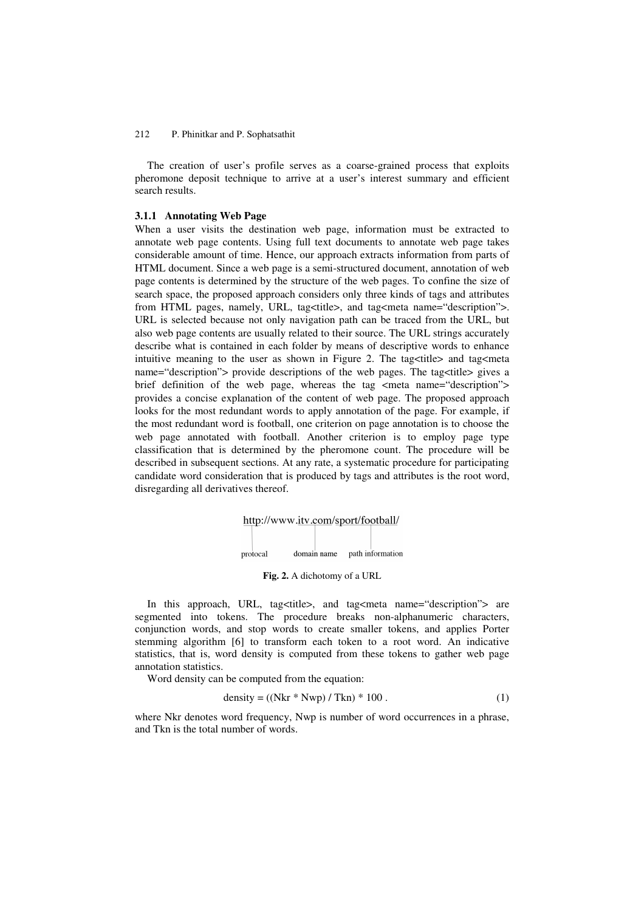The creation of user's profile serves as a coarse-grained process that exploits pheromone deposit technique to arrive at a user's interest summary and efficient search results.

#### **3.1.1 Annotating Web Page**

When a user visits the destination web page, information must be extracted to annotate web page contents. Using full text documents to annotate web page takes considerable amount of time. Hence, our approach extracts information from parts of HTML document. Since a web page is a semi-structured document, annotation of web page contents is determined by the structure of the web pages. To confine the size of search space, the proposed approach considers only three kinds of tags and attributes from HTML pages, namely, URL, tag<title>, and tag<meta name="description">. URL is selected because not only navigation path can be traced from the URL, but also web page contents are usually related to their source. The URL strings accurately describe what is contained in each folder by means of descriptive words to enhance intuitive meaning to the user as shown in Figure 2. The tag-title and tag-meta name="description"> provide descriptions of the web pages. The tag<title> gives a brief definition of the web page, whereas the tag <meta name="description"> provides a concise explanation of the content of web page. The proposed approach looks for the most redundant words to apply annotation of the page. For example, if the most redundant word is football, one criterion on page annotation is to choose the web page annotated with football. Another criterion is to employ page type classification that is determined by the pheromone count. The procedure will be described in subsequent sections. At any rate, a systematic procedure for participating candidate word consideration that is produced by tags and attributes is the root word, disregarding all derivatives thereof.



**Fig. 2.** A dichotomy of a URL

In this approach, URL, tag<title>, and tag<meta name="description"> are segmented into tokens. The procedure breaks non-alphanumeric characters, conjunction words, and stop words to create smaller tokens, and applies Porter stemming algorithm [6] to transform each token to a root word. An indicative statistics, that is, word density is computed from these tokens to gather web page annotation statistics.

Word density can be computed from the equation:

$$
density = ((Nkr * Nwp) / Tkn) * 100.
$$
 (1)

where Nkr denotes word frequency, Nwp is number of word occurrences in a phrase, and Tkn is the total number of words.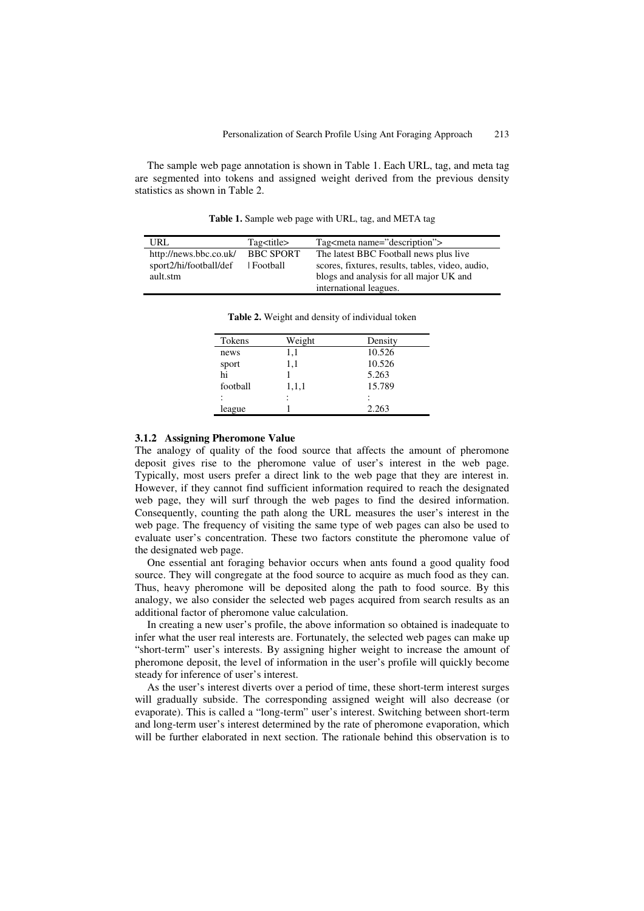The sample web page annotation is shown in Table 1. Each URL, tag, and meta tag are segmented into tokens and assigned weight derived from the previous density statistics as shown in Table 2.

| URL                                                          | Tag <title></title>            | Tag <meta name="description"/>                                                                                                                                  |
|--------------------------------------------------------------|--------------------------------|-----------------------------------------------------------------------------------------------------------------------------------------------------------------|
| http://news.bbc.co.uk/<br>sport2/hi/football/def<br>ault.stm | <b>BBC SPORT</b><br>  Football | The latest BBC Football news plus live<br>scores, fixtures, results, tables, video, audio,<br>blogs and analysis for all major UK and<br>international leagues. |

**Table 1.** Sample web page with URL, tag, and META tag

|  |  |  | Table 2. Weight and density of individual token |  |
|--|--|--|-------------------------------------------------|--|
|--|--|--|-------------------------------------------------|--|

| Tokens   | Weight | Density |
|----------|--------|---------|
| news     | 1,1    | 10.526  |
| sport    | 1,1    | 10.526  |
| hi       |        | 5.263   |
| football | 1,1,1  | 15.789  |
|          |        |         |
| league   |        | 2.263   |

### **3.1.2 Assigning Pheromone Value**

The analogy of quality of the food source that affects the amount of pheromone deposit gives rise to the pheromone value of user's interest in the web page. Typically, most users prefer a direct link to the web page that they are interest in. However, if they cannot find sufficient information required to reach the designated web page, they will surf through the web pages to find the desired information. Consequently, counting the path along the URL measures the user's interest in the web page. The frequency of visiting the same type of web pages can also be used to evaluate user's concentration. These two factors constitute the pheromone value of the designated web page.

One essential ant foraging behavior occurs when ants found a good quality food source. They will congregate at the food source to acquire as much food as they can. Thus, heavy pheromone will be deposited along the path to food source. By this analogy, we also consider the selected web pages acquired from search results as an additional factor of pheromone value calculation.

In creating a new user's profile, the above information so obtained is inadequate to infer what the user real interests are. Fortunately, the selected web pages can make up "short-term" user's interests. By assigning higher weight to increase the amount of pheromone deposit, the level of information in the user's profile will quickly become steady for inference of user's interest.

As the user's interest diverts over a period of time, these short-term interest surges will gradually subside. The corresponding assigned weight will also decrease (or evaporate). This is called a "long-term" user's interest. Switching between short-term and long-term user's interest determined by the rate of pheromone evaporation, which will be further elaborated in next section. The rationale behind this observation is to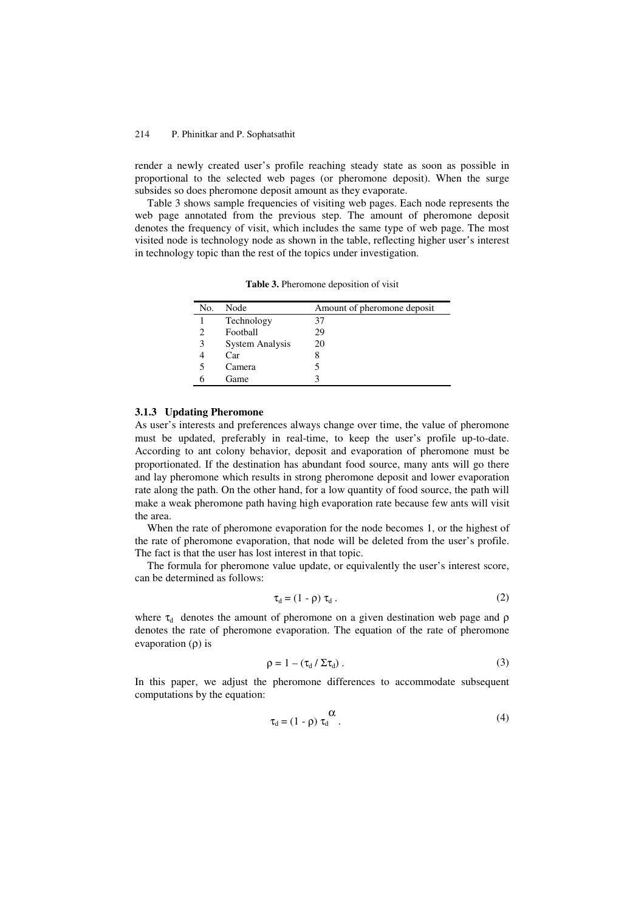render a newly created user's profile reaching steady state as soon as possible in proportional to the selected web pages (or pheromone deposit). When the surge subsides so does pheromone deposit amount as they evaporate.

Table 3 shows sample frequencies of visiting web pages. Each node represents the web page annotated from the previous step. The amount of pheromone deposit denotes the frequency of visit, which includes the same type of web page. The most visited node is technology node as shown in the table, reflecting higher user's interest in technology topic than the rest of the topics under investigation.

| No. | Node            | Amount of pheromone deposit |
|-----|-----------------|-----------------------------|
|     | Technology      | 37                          |
|     | Football        | 29                          |
| 3   | System Analysis | 20                          |
| 4   | Car             |                             |
|     | Camera          |                             |
|     | Game            |                             |

**Table 3.** Pheromone deposition of visit

#### **3.1.3 Updating Pheromone**

As user's interests and preferences always change over time, the value of pheromone must be updated, preferably in real-time, to keep the user's profile up-to-date. According to ant colony behavior, deposit and evaporation of pheromone must be proportionated. If the destination has abundant food source, many ants will go there and lay pheromone which results in strong pheromone deposit and lower evaporation rate along the path. On the other hand, for a low quantity of food source, the path will make a weak pheromone path having high evaporation rate because few ants will visit the area.

When the rate of pheromone evaporation for the node becomes 1, or the highest of the rate of pheromone evaporation, that node will be deleted from the user's profile. The fact is that the user has lost interest in that topic.

The formula for pheromone value update, or equivalently the user's interest score, can be determined as follows:

$$
\tau_{d} = (1 - \rho) \tau_{d} . \tag{2}
$$

where  $\tau_d$  denotes the amount of pheromone on a given destination web page and  $\rho$ denotes the rate of pheromone evaporation. The equation of the rate of pheromone evaporation  $(\rho)$  is

$$
\rho = 1 - (\tau_d / \Sigma \tau_d). \tag{3}
$$

In this paper, we adjust the pheromone differences to accommodate subsequent computations by the equation:

$$
\tau_d = (1 - \rho) \tau_d^{\alpha} \tag{4}
$$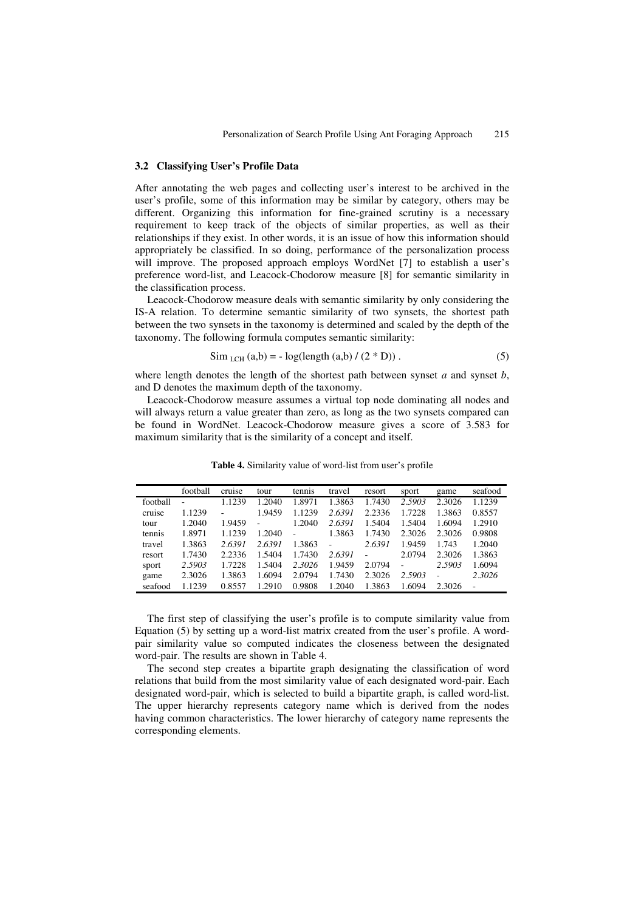#### **3.2 Classifying User's Profile Data**

After annotating the web pages and collecting user's interest to be archived in the user's profile, some of this information may be similar by category, others may be different. Organizing this information for fine-grained scrutiny is a necessary requirement to keep track of the objects of similar properties, as well as their relationships if they exist. In other words, it is an issue of how this information should appropriately be classified. In so doing, performance of the personalization process will improve. The proposed approach employs WordNet [7] to establish a user's preference word-list, and Leacock-Chodorow measure [8] for semantic similarity in the classification process.

Leacock-Chodorow measure deals with semantic similarity by only considering the IS-A relation. To determine semantic similarity of two synsets, the shortest path between the two synsets in the taxonomy is determined and scaled by the depth of the taxonomy. The following formula computes semantic similarity:

$$
\text{Sim}_{\text{LCH}}\,(a,b) = -\log(\text{length}(a,b) / (2 \times D)) \,. \tag{5}
$$

where length denotes the length of the shortest path between synset *a* and synset *b*, and D denotes the maximum depth of the taxonomy.

Leacock-Chodorow measure assumes a virtual top node dominating all nodes and will always return a value greater than zero, as long as the two synsets compared can be found in WordNet. Leacock-Chodorow measure gives a score of 3.583 for maximum similarity that is the similarity of a concept and itself.

|          | football | cruise | tour   | tennis         | travel | resort         | sport  | game   | seafood |
|----------|----------|--------|--------|----------------|--------|----------------|--------|--------|---------|
| football |          | 1.1239 | 1.2040 | 1.8971         | 1.3863 | 1.7430         | 2.5903 | 2.3026 | 1.1239  |
| cruise   | 1.1239   |        | 1.9459 | 1.1239         | 2.6391 | 2.2336         | 1.7228 | 1.3863 | 0.8557  |
| tour     | 1.2040   | 1.9459 |        | 1.2040         | 2.6391 | 1.5404         | 1.5404 | 1.6094 | 1.2910  |
| tennis   | 1.8971   | 1.1239 | 1.2040 | $\overline{a}$ | 1.3863 | 1.7430         | 2.3026 | 2.3026 | 0.9808  |
| travel   | 1.3863   | 2.6391 | 2.6391 | 1.3863         |        | 2.6391         | 1.9459 | 1.743  | 1.2040  |
| resort   | 1.7430   | 2.2336 | 1.5404 | 1.7430         | 2.6391 | $\overline{a}$ | 2.0794 | 2.3026 | 1.3863  |
| sport    | 2.5903   | 1.7228 | 1.5404 | 2.3026         | 1.9459 | 2.0794         |        | 2.5903 | 1.6094  |
| game     | 2.3026   | 1.3863 | 1.6094 | 2.0794         | 1.7430 | 2.3026         | 2.5903 |        | 2.3026  |
| seafood  | 1.1239   | 0.8557 | 1.2910 | 0.9808         | 1.2040 | 1.3863         | 1.6094 | 2.3026 |         |

**Table 4.** Similarity value of word-list from user's profile

The first step of classifying the user's profile is to compute similarity value from Equation (5) by setting up a word-list matrix created from the user's profile. A wordpair similarity value so computed indicates the closeness between the designated word-pair. The results are shown in Table 4.

The second step creates a bipartite graph designating the classification of word relations that build from the most similarity value of each designated word-pair. Each designated word-pair, which is selected to build a bipartite graph, is called word-list. The upper hierarchy represents category name which is derived from the nodes having common characteristics. The lower hierarchy of category name represents the corresponding elements.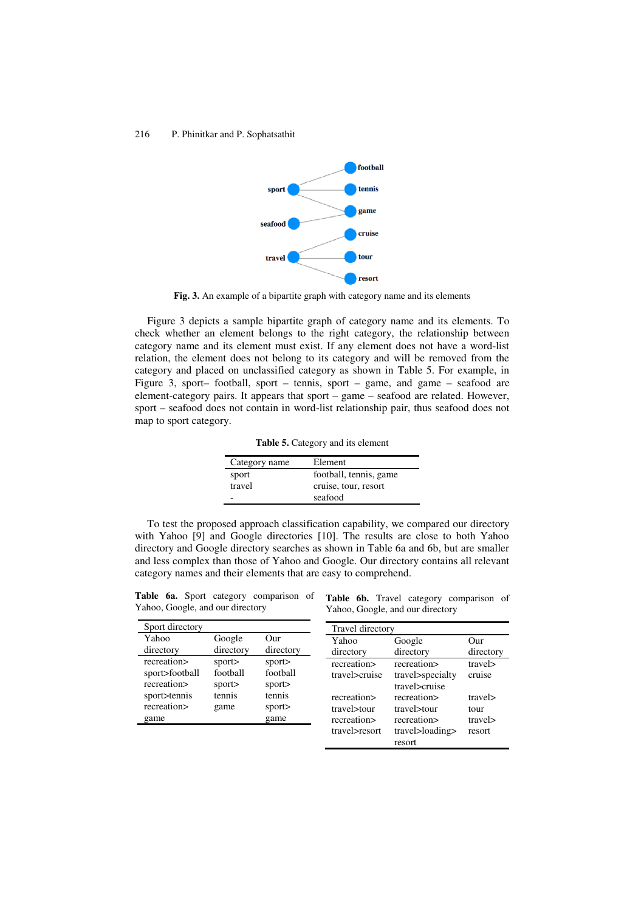

**Fig. 3.** An example of a bipartite graph with category name and its elements

Figure 3 depicts a sample bipartite graph of category name and its elements. To check whether an element belongs to the right category, the relationship between category name and its element must exist. If any element does not have a word-list relation, the element does not belong to its category and will be removed from the category and placed on unclassified category as shown in Table 5. For example, in Figure 3, sport– football, sport – tennis, sport – game, and game – seafood are element-category pairs. It appears that sport – game – seafood are related. However, sport – seafood does not contain in word-list relationship pair, thus seafood does not map to sport category.

**Table 5.** Category and its element

| Category name | Element                |
|---------------|------------------------|
| sport         | football, tennis, game |
| travel        | cruise, tour, resort   |
|               | seafood                |

To test the proposed approach classification capability, we compared our directory with Yahoo [9] and Google directories [10]. The results are close to both Yahoo directory and Google directory searches as shown in Table 6a and 6b, but are smaller and less complex than those of Yahoo and Google. Our directory contains all relevant category names and their elements that are easy to comprehend.

Table 6a. Sport category comparison of Table 6b. Travel category comparison of Yahoo, Google, and our directory

| Sport directory |           |           |
|-----------------|-----------|-----------|
| Yahoo           | Google    | Our       |
| directory       | directory | directory |
| recreation>     | sport>    | sport>    |
| sport>football  | football  | football  |
| recreation>     | sport>    | sport>    |
| sport>tennis    | tennis    | tennis    |
| recreation>     | game      | sport>    |
| game            |           | game      |
|                 |           |           |

Yahoo, Google, and our directory

| Travel directory |                  |              |  |  |  |  |
|------------------|------------------|--------------|--|--|--|--|
| Yahoo            | Google           | $_{\rm Our}$ |  |  |  |  |
| directory        | directory        | directory    |  |  |  |  |
| recreation>      | recreation>      | travel>      |  |  |  |  |
| travel>cruise    | travel>specialty | cruise       |  |  |  |  |
|                  | travel>cruise    |              |  |  |  |  |
| recreation>      | recreation>      | travel>      |  |  |  |  |
| travel>tour      | travel>tour      | tour         |  |  |  |  |
| recreation>      | recreation>      | travel>      |  |  |  |  |
| travel>resort    | travel>loading>  | resort       |  |  |  |  |
|                  | resort           |              |  |  |  |  |
|                  |                  |              |  |  |  |  |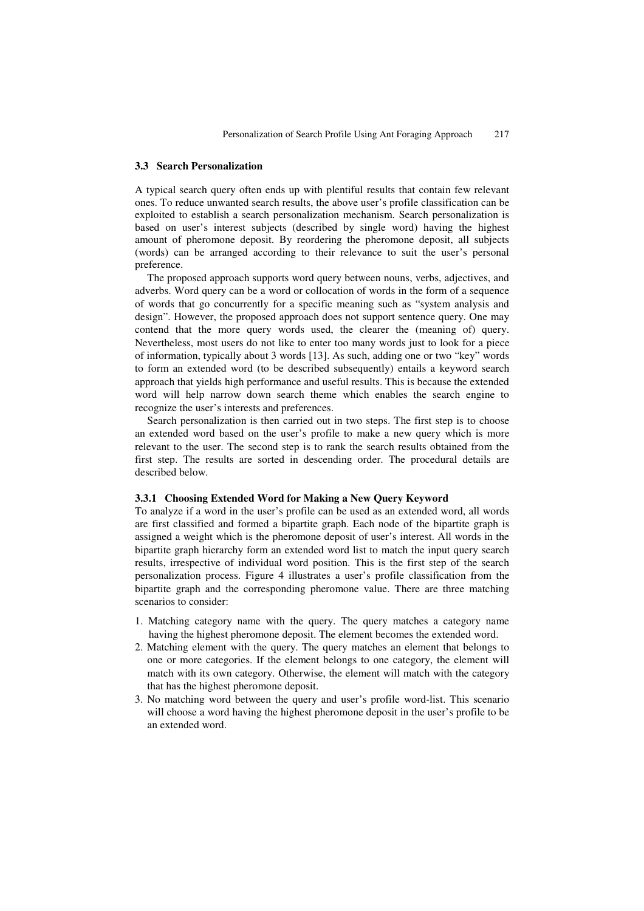#### **3.3 Search Personalization**

A typical search query often ends up with plentiful results that contain few relevant ones. To reduce unwanted search results, the above user's profile classification can be exploited to establish a search personalization mechanism. Search personalization is based on user's interest subjects (described by single word) having the highest amount of pheromone deposit. By reordering the pheromone deposit, all subjects (words) can be arranged according to their relevance to suit the user's personal preference.

The proposed approach supports word query between nouns, verbs, adjectives, and adverbs. Word query can be a word or collocation of words in the form of a sequence of words that go concurrently for a specific meaning such as "system analysis and design". However, the proposed approach does not support sentence query. One may contend that the more query words used, the clearer the (meaning of) query. Nevertheless, most users do not like to enter too many words just to look for a piece of information, typically about 3 words [13]. As such, adding one or two "key" words to form an extended word (to be described subsequently) entails a keyword search approach that yields high performance and useful results. This is because the extended word will help narrow down search theme which enables the search engine to recognize the user's interests and preferences.

Search personalization is then carried out in two steps. The first step is to choose an extended word based on the user's profile to make a new query which is more relevant to the user. The second step is to rank the search results obtained from the first step. The results are sorted in descending order. The procedural details are described below.

#### **3.3.1 Choosing Extended Word for Making a New Query Keyword**

To analyze if a word in the user's profile can be used as an extended word, all words are first classified and formed a bipartite graph. Each node of the bipartite graph is assigned a weight which is the pheromone deposit of user's interest. All words in the bipartite graph hierarchy form an extended word list to match the input query search results, irrespective of individual word position. This is the first step of the search personalization process. Figure 4 illustrates a user's profile classification from the bipartite graph and the corresponding pheromone value. There are three matching scenarios to consider:

- 1. Matching category name with the query. The query matches a category name having the highest pheromone deposit. The element becomes the extended word.
- 2. Matching element with the query. The query matches an element that belongs to one or more categories. If the element belongs to one category, the element will match with its own category. Otherwise, the element will match with the category that has the highest pheromone deposit.
- 3. No matching word between the query and user's profile word-list. This scenario will choose a word having the highest pheromone deposit in the user's profile to be an extended word.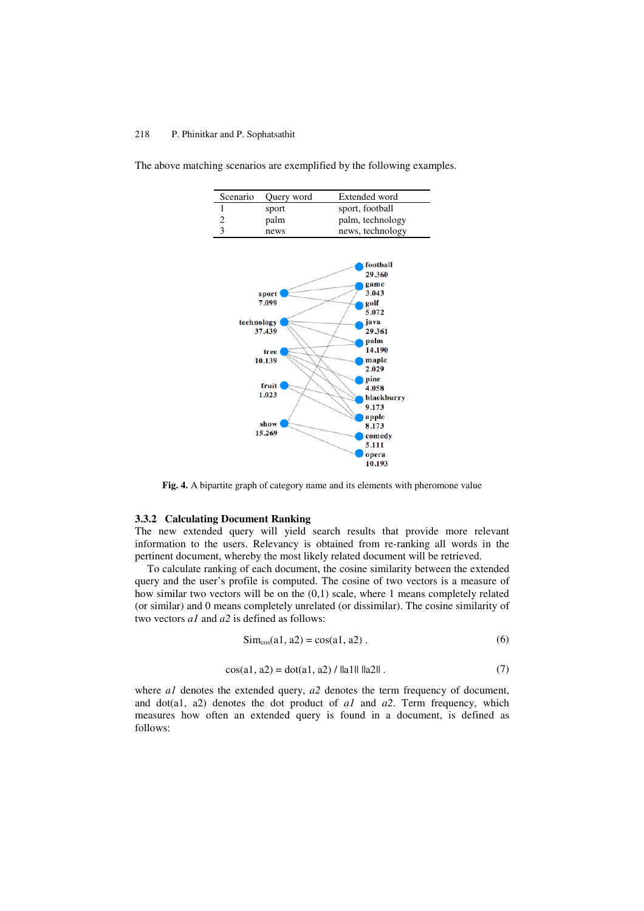

The above matching scenarios are exemplified by the following examples.

**Fig. 4.** A bipartite graph of category name and its elements with pheromone value

#### **3.3.2 Calculating Document Ranking**

The new extended query will yield search results that provide more relevant information to the users. Relevancy is obtained from re-ranking all words in the pertinent document, whereby the most likely related document will be retrieved.

To calculate ranking of each document, the cosine similarity between the extended query and the user's profile is computed. The cosine of two vectors is a measure of how similar two vectors will be on the (0,1) scale, where 1 means completely related (or similar) and 0 means completely unrelated (or dissimilar). The cosine similarity of two vectors *a1* and *a2* is defined as follows:

$$
Sim_{cos}(a1, a2) = cos(a1, a2).
$$
 (6)

$$
\cos(a1, a2) = \det(a1, a2) / \|\text{a1}\| \|\text{a2}\|.
$$
 (7)

where *a1* denotes the extended query, *a2* denotes the term frequency of document, and dot(a1, a2) denotes the dot product of *a1* and *a2*. Term frequency, which measures how often an extended query is found in a document, is defined as follows: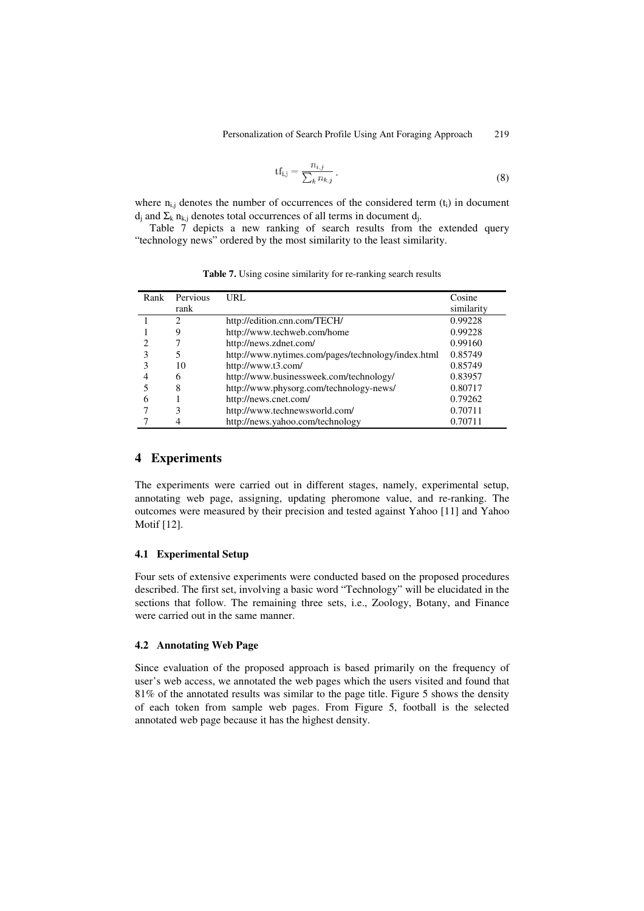$$
\text{tf}_{\text{i,j}} = \frac{n_{i,j}}{\sum_{k} n_{k,j}} \,. \tag{8}
$$

where  $n_{i,j}$  denotes the number of occurrences of the considered term  $(t_i)$  in document  $d_i$  and  $\Sigma_k$  n<sub>k,j</sub> denotes total occurrences of all terms in document d<sub>i</sub>.

Table 7 depicts a new ranking of search results from the extended query "technology news" ordered by the most similarity to the least similarity.

| Rank | Pervious       | URL.                                               | Cosine     |
|------|----------------|----------------------------------------------------|------------|
|      | rank           |                                                    | similarity |
|      | $\mathfrak{D}$ | http://edition.cnn.com/TECH/                       | 0.99228    |
|      | g              | http://www.techweb.com/home                        | 0.99228    |
|      |                | http://news.zdnet.com/                             | 0.99160    |
|      |                | http://www.nytimes.com/pages/technology/index.html | 0.85749    |
|      | 10             | http://www.t3.com/                                 | 0.85749    |
|      | 6              | http://www.businessweek.com/technology/            | 0.83957    |
|      | 8              | http://www.physorg.com/technology-news/            | 0.80717    |
|      |                | http://news.cnet.com/                              | 0.79262    |
|      | 3              | http://www.technewsworld.com/                      | 0.70711    |
|      |                | http://news.yahoo.com/technology                   | 0.70711    |

**Table 7.** Using cosine similarity for re-ranking search results

# **4 Experiments**

The experiments were carried out in different stages, namely, experimental setup, annotating web page, assigning, updating pheromone value, and re-ranking. The outcomes were measured by their precision and tested against Yahoo [11] and Yahoo Motif [12].

### **4.1 Experimental Setup**

Four sets of extensive experiments were conducted based on the proposed procedures described. The first set, involving a basic word "Technology" will be elucidated in the sections that follow. The remaining three sets, i.e., Zoology, Botany, and Finance were carried out in the same manner.

#### **4.2 Annotating Web Page**

Since evaluation of the proposed approach is based primarily on the frequency of user's web access, we annotated the web pages which the users visited and found that 81% of the annotated results was similar to the page title. Figure 5 shows the density of each token from sample web pages. From Figure 5, football is the selected annotated web page because it has the highest density.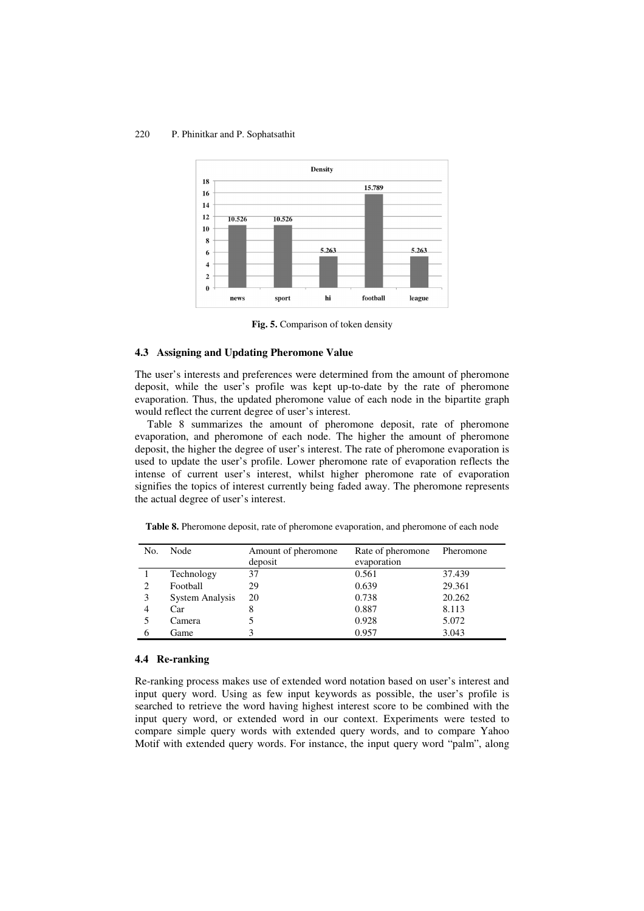

**Fig. 5.** Comparison of token density

### **4.3 Assigning and Updating Pheromone Value**

The user's interests and preferences were determined from the amount of pheromone deposit, while the user's profile was kept up-to-date by the rate of pheromone evaporation. Thus, the updated pheromone value of each node in the bipartite graph would reflect the current degree of user's interest.

Table 8 summarizes the amount of pheromone deposit, rate of pheromone evaporation, and pheromone of each node. The higher the amount of pheromone deposit, the higher the degree of user's interest. The rate of pheromone evaporation is used to update the user's profile. Lower pheromone rate of evaporation reflects the intense of current user's interest, whilst higher pheromone rate of evaporation signifies the topics of interest currently being faded away. The pheromone represents the actual degree of user's interest.

| No. | Node            | Amount of pheromone<br>deposit | Rate of pheromone Pheromone<br>evaporation |        |
|-----|-----------------|--------------------------------|--------------------------------------------|--------|
|     |                 |                                |                                            |        |
|     | Technology      | 37                             | 0.561                                      | 37.439 |
|     | Football        | 29                             | 0.639                                      | 29.361 |
| 3   | System Analysis | 20                             | 0.738                                      | 20.262 |
| 4   | Car             |                                | 0.887                                      | 8.113  |
|     | Camera          |                                | 0.928                                      | 5.072  |
|     | Game            |                                | 0.957                                      | 3.043  |

**Table 8.** Pheromone deposit, rate of pheromone evaporation, and pheromone of each node

#### **4.4 Re-ranking**

Re-ranking process makes use of extended word notation based on user's interest and input query word. Using as few input keywords as possible, the user's profile is searched to retrieve the word having highest interest score to be combined with the input query word, or extended word in our context. Experiments were tested to compare simple query words with extended query words, and to compare Yahoo Motif with extended query words. For instance, the input query word "palm", along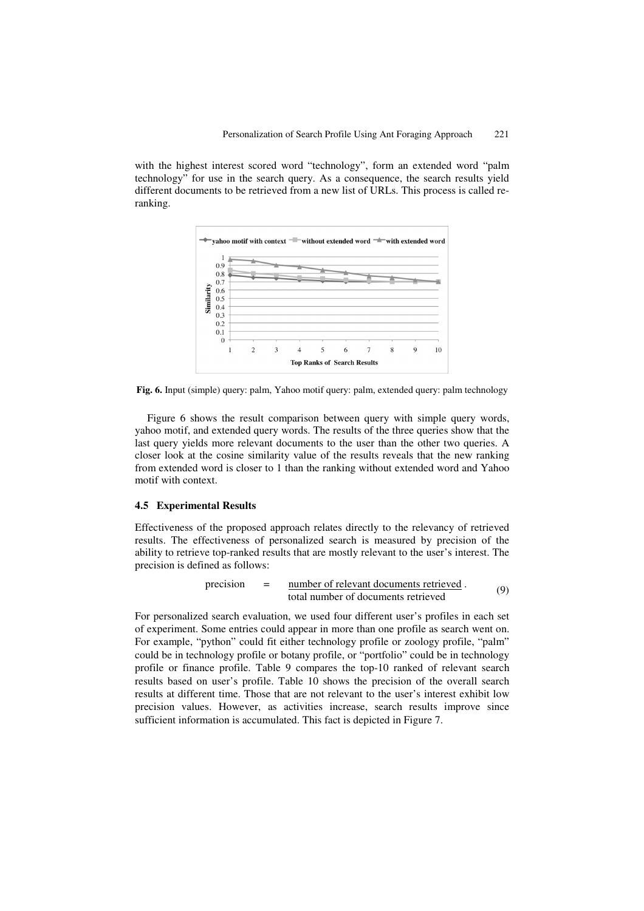with the highest interest scored word "technology", form an extended word "palm technology" for use in the search query. As a consequence, the search results yield different documents to be retrieved from a new list of URLs. This process is called reranking.



**Fig. 6.** Input (simple) query: palm, Yahoo motif query: palm, extended query: palm technology

Figure 6 shows the result comparison between query with simple query words, yahoo motif, and extended query words. The results of the three queries show that the last query yields more relevant documents to the user than the other two queries. A closer look at the cosine similarity value of the results reveals that the new ranking from extended word is closer to 1 than the ranking without extended word and Yahoo motif with context.

#### **4.5 Experimental Results**

Effectiveness of the proposed approach relates directly to the relevancy of retrieved results. The effectiveness of personalized search is measured by precision of the ability to retrieve top-ranked results that are mostly relevant to the user's interest. The precision is defined as follows:

$$
precision = \frac{number of relevant documents retrieved}{total number of documents retrieved}.
$$
\n(9)

For personalized search evaluation, we used four different user's profiles in each set of experiment. Some entries could appear in more than one profile as search went on. For example, "python" could fit either technology profile or zoology profile, "palm" could be in technology profile or botany profile, or "portfolio" could be in technology profile or finance profile. Table 9 compares the top-10 ranked of relevant search results based on user's profile. Table 10 shows the precision of the overall search results at different time. Those that are not relevant to the user's interest exhibit low precision values. However, as activities increase, search results improve since sufficient information is accumulated. This fact is depicted in Figure 7.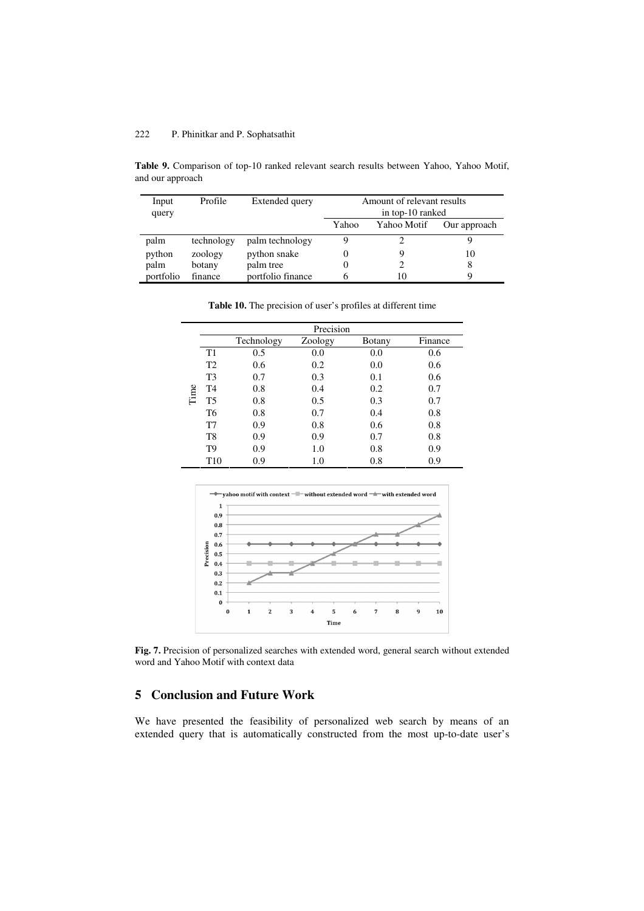**Table 9.** Comparison of top-10 ranked relevant search results between Yahoo, Yahoo Motif, and our approach

| Input<br>query | Profile    | Extended query    | Amount of relevant results<br>in top-10 ranked |             |              |
|----------------|------------|-------------------|------------------------------------------------|-------------|--------------|
|                |            |                   | Yahoo                                          | Yahoo Motif | Our approach |
| palm           | technology | palm technology   |                                                |             |              |
| python         | zoology    | python snake      |                                                |             | 10           |
| palm           | botany     | palm tree         |                                                |             |              |
| portfolio      | finance    | portfolio finance | h                                              | 10          |              |

|      |                 |            | Precision |        |         |
|------|-----------------|------------|-----------|--------|---------|
|      |                 | Technology | Zoology   | Botany | Finance |
|      | T1              | 0.5        | 0.0       | 0.0    | 0.6     |
|      | T <sub>2</sub>  | 0.6        | 0.2       | 0.0    | 0.6     |
|      | T <sub>3</sub>  | 0.7        | 0.3       | 0.1    | 0.6     |
|      | T4              | 0.8        | 0.4       | 0.2    | 0.7     |
| Time | T5              | 0.8        | 0.5       | 0.3    | 0.7     |
|      | T6              | 0.8        | 0.7       | 0.4    | 0.8     |
|      | T <sub>7</sub>  | 0.9        | 0.8       | 0.6    | 0.8     |
|      | T <sub>8</sub>  | 0.9        | 0.9       | 0.7    | 0.8     |
|      | T <sub>9</sub>  | 0.9        | 1.0       | 0.8    | 0.9     |
|      | T <sub>10</sub> | 0.9        | 1.0       | 0.8    | 0.9     |

**Table 10.** The precision of user's profiles at different time



**Fig. 7.** Precision of personalized searches with extended word, general search without extended word and Yahoo Motif with context data

# **5 Conclusion and Future Work**

We have presented the feasibility of personalized web search by means of an extended query that is automatically constructed from the most up-to-date user's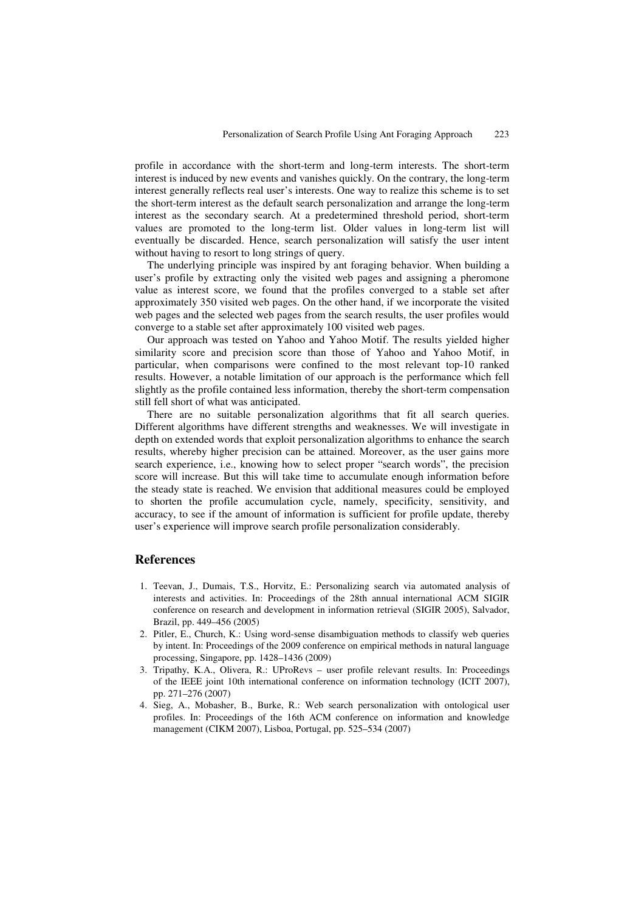profile in accordance with the short-term and long-term interests. The short-term interest is induced by new events and vanishes quickly. On the contrary, the long-term interest generally reflects real user's interests. One way to realize this scheme is to set the short-term interest as the default search personalization and arrange the long-term interest as the secondary search. At a predetermined threshold period, short-term values are promoted to the long-term list. Older values in long-term list will eventually be discarded. Hence, search personalization will satisfy the user intent without having to resort to long strings of query.

The underlying principle was inspired by ant foraging behavior. When building a user's profile by extracting only the visited web pages and assigning a pheromone value as interest score, we found that the profiles converged to a stable set after approximately 350 visited web pages. On the other hand, if we incorporate the visited web pages and the selected web pages from the search results, the user profiles would converge to a stable set after approximately 100 visited web pages.

Our approach was tested on Yahoo and Yahoo Motif. The results yielded higher similarity score and precision score than those of Yahoo and Yahoo Motif, in particular, when comparisons were confined to the most relevant top-10 ranked results. However, a notable limitation of our approach is the performance which fell slightly as the profile contained less information, thereby the short-term compensation still fell short of what was anticipated.

There are no suitable personalization algorithms that fit all search queries. Different algorithms have different strengths and weaknesses. We will investigate in depth on extended words that exploit personalization algorithms to enhance the search results, whereby higher precision can be attained. Moreover, as the user gains more search experience, i.e., knowing how to select proper "search words", the precision score will increase. But this will take time to accumulate enough information before the steady state is reached. We envision that additional measures could be employed to shorten the profile accumulation cycle, namely, specificity, sensitivity, and accuracy, to see if the amount of information is sufficient for profile update, thereby user's experience will improve search profile personalization considerably.

# **References**

- 1. Teevan, J., Dumais, T.S., Horvitz, E.: Personalizing search via automated analysis of interests and activities. In: Proceedings of the 28th annual international ACM SIGIR conference on research and development in information retrieval (SIGIR 2005), Salvador, Brazil, pp. 449–456 (2005)
- 2. Pitler, E., Church, K.: Using word-sense disambiguation methods to classify web queries by intent. In: Proceedings of the 2009 conference on empirical methods in natural language processing, Singapore, pp. 1428–1436 (2009)
- 3. Tripathy, K.A., Olivera, R.: UProRevs user profile relevant results. In: Proceedings of the IEEE joint 10th international conference on information technology (ICIT 2007), pp. 271–276 (2007)
- 4. Sieg, A., Mobasher, B., Burke, R.: Web search personalization with ontological user profiles. In: Proceedings of the 16th ACM conference on information and knowledge management (CIKM 2007), Lisboa, Portugal, pp. 525–534 (2007)